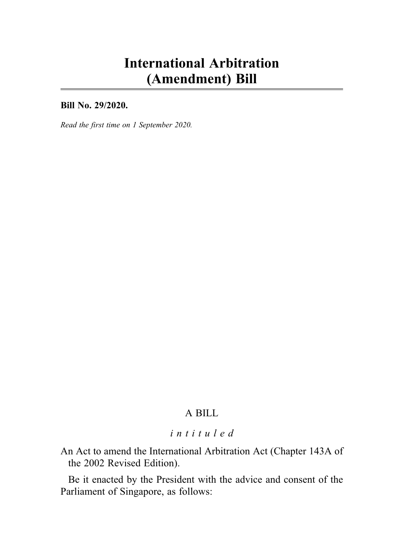# International Arbitration (Amendment) Bill

Bill No. 29/2020.

Read the first time on 1 September 2020.

# A BILL

# intituled

An Act to amend the International Arbitration Act (Chapter 143A of the 2002 Revised Edition).

Be it enacted by the President with the advice and consent of the Parliament of Singapore, as follows: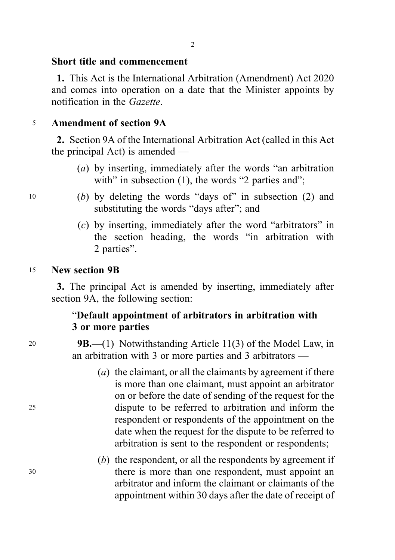#### Short title and commencement

1. This Act is the International Arbitration (Amendment) Act 2020 and comes into operation on a date that the Minister appoints by notification in the Gazette.

#### <sup>5</sup> Amendment of section 9A

2. Section 9A of the International Arbitration Act (called in this Act the principal Act) is amended —

- (a) by inserting, immediately after the words "an arbitration with" in subsection  $(1)$ , the words "2 parties and";
- <sup>10</sup> (b) by deleting the words "days of" in subsection (2) and substituting the words "days after"; and
	- (c) by inserting, immediately after the word "arbitrators" in the section heading, the words "in arbitration with 2 parties".

#### <sup>15</sup> New section 9B

3. The principal Act is amended by inserting, immediately after section 9A, the following section:

# "Default appointment of arbitrators in arbitration with 3 or more parties

20 **9B.**—(1) Notwithstanding Article 11(3) of the Model Law, in an arbitration with 3 or more parties and 3 arbitrators —

- (a) the claimant, or all the claimants by agreement if there is more than one claimant, must appoint an arbitrator on or before the date of sending of the request for the <sup>25</sup> dispute to be referred to arbitration and inform the respondent or respondents of the appointment on the date when the request for the dispute to be referred to arbitration is sent to the respondent or respondents;
- (b) the respondent, or all the respondents by agreement if <sup>30</sup> there is more than one respondent, must appoint an arbitrator and inform the claimant or claimants of the appointment within 30 days after the date of receipt of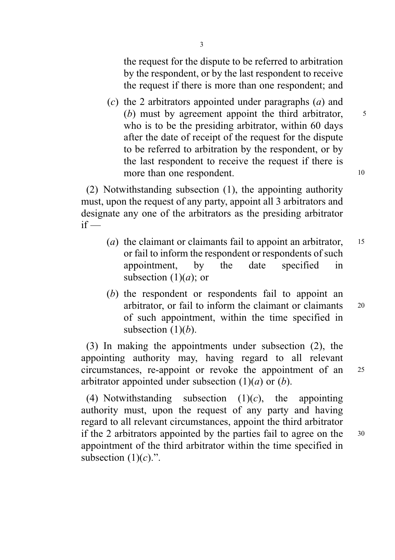the request for the dispute to be referred to arbitration by the respondent, or by the last respondent to receive the request if there is more than one respondent; and

(c) the 2 arbitrators appointed under paragraphs  $(a)$  and (b) must by agreement appoint the third arbitrator,  $\frac{5}{3}$ who is to be the presiding arbitrator, within 60 days after the date of receipt of the request for the dispute to be referred to arbitration by the respondent, or by the last respondent to receive the request if there is more than one respondent.

(2) Notwithstanding subsection (1), the appointing authority must, upon the request of any party, appoint all 3 arbitrators and designate any one of the arbitrators as the presiding arbitrator  $if -$ 

- (a) the claimant or claimants fail to appoint an arbitrator,  $15$ or fail to inform the respondent or respondents of such appointment, by the date specified in subsection  $(1)(a)$ ; or
- (b) the respondent or respondents fail to appoint an arbitrator, or fail to inform the claimant or claimants <sup>20</sup> of such appointment, within the time specified in subsection  $(1)(b)$ .

(3) In making the appointments under subsection (2), the appointing authority may, having regard to all relevant circumstances, re-appoint or revoke the appointment of an <sup>25</sup> arbitrator appointed under subsection  $(1)(a)$  or  $(b)$ .

(4) Notwithstanding subsection  $(1)(c)$ , the appointing authority must, upon the request of any party and having regard to all relevant circumstances, appoint the third arbitrator if the 2 arbitrators appointed by the parties fail to agree on the <sup>30</sup> appointment of the third arbitrator within the time specified in subsection  $(1)(c)$ .".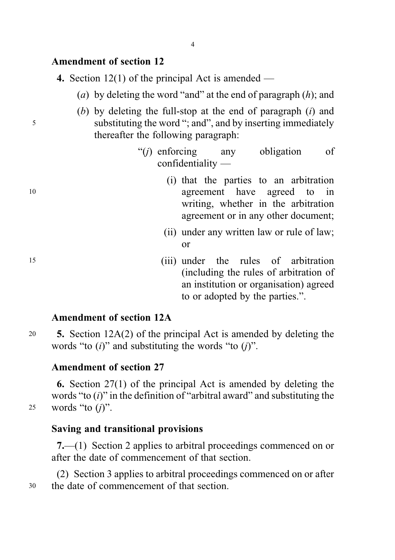## Amendment of section 12

|  |  |  |  |  |  | 4. Section $12(1)$ of the principal Act is amended $-$ |  |
|--|--|--|--|--|--|--------------------------------------------------------|--|
|--|--|--|--|--|--|--------------------------------------------------------|--|

- (a) by deleting the word "and" at the end of paragraph  $(h)$ ; and
- (b) by deleting the full-stop at the end of paragraph  $(i)$  and <sup>5</sup> substituting the word "; and", and by inserting immediately thereafter the following paragraph:
	- "(j) enforcing any obligation of confidentiality —
- (i) that the parties to an arbitration <sup>10</sup> agreement have agreed to in writing, whether in the arbitration agreement or in any other document;
	- (ii) under any written law or rule of law; or
- <sup>15</sup> (iii) under the rules of arbitration (including the rules of arbitration of an institution or organisation) agreed to or adopted by the parties.".

# Amendment of section 12A

<sup>20</sup> 5. Section 12A(2) of the principal Act is amended by deleting the words "to  $(i)$ " and substituting the words "to  $(i)$ ".

## Amendment of section 27

6. Section 27(1) of the principal Act is amended by deleting the words "to  $(i)$ " in the definition of "arbitral award" and substituting the 25 words "to  $(i)$ ".

Saving and transitional provisions

7.—(1) Section 2 applies to arbitral proceedings commenced on or after the date of commencement of that section.

(2) Section 3 applies to arbitral proceedings commenced on or after <sup>30</sup> the date of commencement of that section.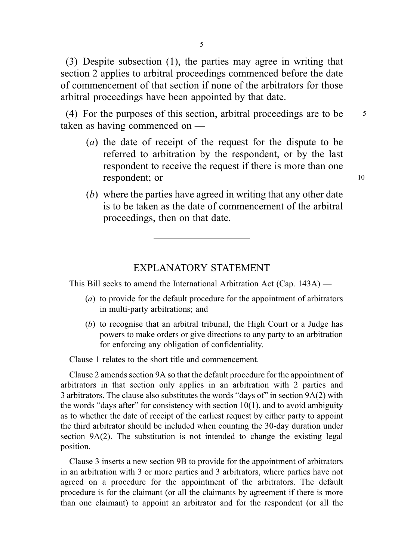(3) Despite subsection (1), the parties may agree in writing that section 2 applies to arbitral proceedings commenced before the date of commencement of that section if none of the arbitrators for those arbitral proceedings have been appointed by that date.

(4) For the purposes of this section, arbitral proceedings are to be  $\frac{5}{5}$ taken as having commenced on —

- (a) the date of receipt of the request for the dispute to be referred to arbitration by the respondent, or by the last respondent to receive the request if there is more than one respondent; or 10
- (b) where the parties have agreed in writing that any other date is to be taken as the date of commencement of the arbitral proceedings, then on that date.

#### EXPLANATORY STATEMENT

This Bill seeks to amend the International Arbitration Act (Cap. 143A) —

- (a) to provide for the default procedure for the appointment of arbitrators in multi-party arbitrations; and
- (b) to recognise that an arbitral tribunal, the High Court or a Judge has powers to make orders or give directions to any party to an arbitration for enforcing any obligation of confidentiality.

Clause 1 relates to the short title and commencement.

Clause 2 amends section 9A so that the default procedure for the appointment of arbitrators in that section only applies in an arbitration with 2 parties and 3 arbitrators. The clause also substitutes the words "days of" in section 9A(2) with the words "days after" for consistency with section  $10(1)$ , and to avoid ambiguity as to whether the date of receipt of the earliest request by either party to appoint the third arbitrator should be included when counting the 30-day duration under section 9A(2). The substitution is not intended to change the existing legal position.

Clause 3 inserts a new section 9B to provide for the appointment of arbitrators in an arbitration with 3 or more parties and 3 arbitrators, where parties have not agreed on a procedure for the appointment of the arbitrators. The default procedure is for the claimant (or all the claimants by agreement if there is more than one claimant) to appoint an arbitrator and for the respondent (or all the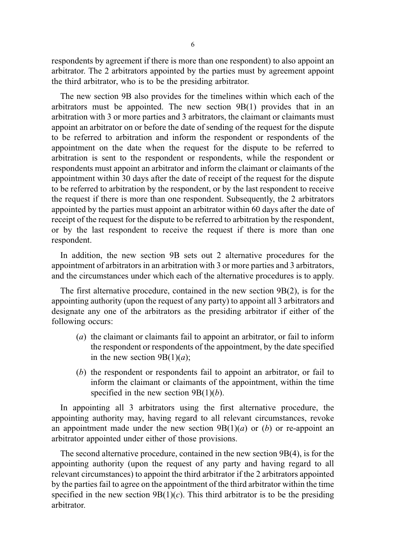respondents by agreement if there is more than one respondent) to also appoint an arbitrator. The 2 arbitrators appointed by the parties must by agreement appoint the third arbitrator, who is to be the presiding arbitrator.

The new section 9B also provides for the timelines within which each of the arbitrators must be appointed. The new section 9B(1) provides that in an arbitration with 3 or more parties and 3 arbitrators, the claimant or claimants must appoint an arbitrator on or before the date of sending of the request for the dispute to be referred to arbitration and inform the respondent or respondents of the appointment on the date when the request for the dispute to be referred to arbitration is sent to the respondent or respondents, while the respondent or respondents must appoint an arbitrator and inform the claimant or claimants of the appointment within 30 days after the date of receipt of the request for the dispute to be referred to arbitration by the respondent, or by the last respondent to receive the request if there is more than one respondent. Subsequently, the 2 arbitrators appointed by the parties must appoint an arbitrator within 60 days after the date of receipt of the request for the dispute to be referred to arbitration by the respondent, or by the last respondent to receive the request if there is more than one respondent.

In addition, the new section 9B sets out 2 alternative procedures for the appointment of arbitrators in an arbitration with 3 or more parties and 3 arbitrators, and the circumstances under which each of the alternative procedures is to apply.

The first alternative procedure, contained in the new section 9B(2), is for the appointing authority (upon the request of any party) to appoint all 3 arbitrators and designate any one of the arbitrators as the presiding arbitrator if either of the following occurs:

- (a) the claimant or claimants fail to appoint an arbitrator, or fail to inform the respondent or respondents of the appointment, by the date specified in the new section  $9B(1)(a)$ ;
- (b) the respondent or respondents fail to appoint an arbitrator, or fail to inform the claimant or claimants of the appointment, within the time specified in the new section  $9B(1)(b)$ .

In appointing all 3 arbitrators using the first alternative procedure, the appointing authority may, having regard to all relevant circumstances, revoke an appointment made under the new section  $9B(1)(a)$  or (b) or re-appoint an arbitrator appointed under either of those provisions.

The second alternative procedure, contained in the new section 9B(4), is for the appointing authority (upon the request of any party and having regard to all relevant circumstances) to appoint the third arbitrator if the 2 arbitrators appointed by the parties fail to agree on the appointment of the third arbitrator within the time specified in the new section  $9B(1)(c)$ . This third arbitrator is to be the presiding arbitrator.